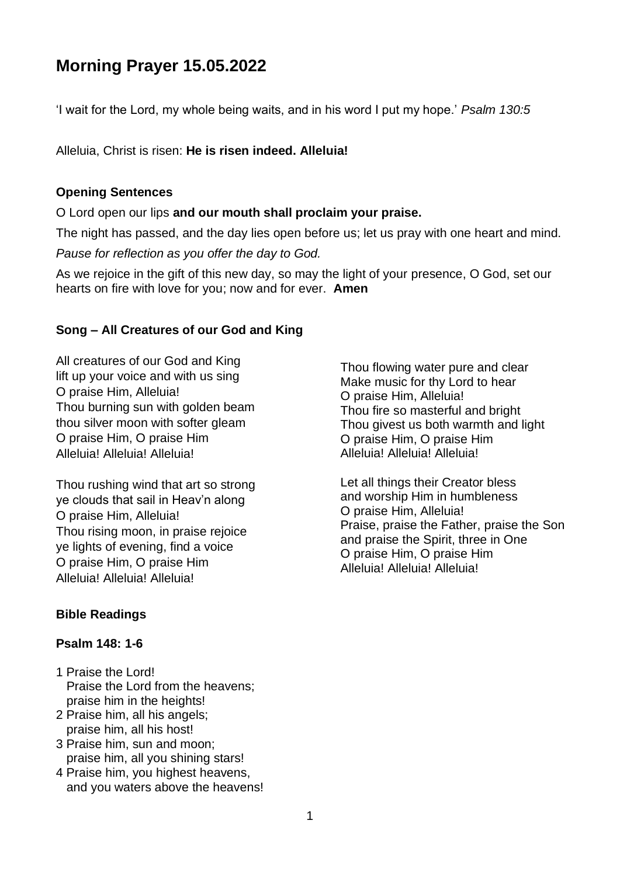# **Morning Prayer 15.05.2022**

'I wait for the Lord, my whole being waits, and in his word I put my hope.' *Psalm 130:5*

Alleluia, Christ is risen: **He is risen indeed. Alleluia!**

# **Opening Sentences**

O Lord open our lips **and our mouth shall proclaim your praise.**

The night has passed, and the day lies open before us; let us pray with one heart and mind.

*Pause for reflection as you offer the day to God.*

As we rejoice in the gift of this new day, so may the light of your presence, O God, set our hearts on fire with love for you; now and for ever. **Amen**

# **Song – All Creatures of our God and King**

All creatures of our God and King lift up your voice and with us sing O praise Him, Alleluia! Thou burning sun with golden beam thou silver moon with softer gleam O praise Him, O praise Him Alleluia! Alleluia! Alleluia!

Thou rushing wind that art so strong ye clouds that sail in Heav'n along O praise Him, Alleluia! Thou rising moon, in praise rejoice ye lights of evening, find a voice O praise Him, O praise Him Alleluia! Alleluia! Alleluia!

# **Bible Readings**

### **Psalm 148: 1-6**

- 1 Praise the Lord! Praise the Lord from the heavens; praise him in the heights!
- 2 Praise him, all his angels; praise him, all his host!
- 3 Praise him, sun and moon; praise him, all you shining stars!
- 4 Praise him, you highest heavens, and you waters above the heavens!

Thou flowing water pure and clear Make music for thy Lord to hear O praise Him, Alleluia! Thou fire so masterful and bright Thou givest us both warmth and light O praise Him, O praise Him Alleluia! Alleluia! Alleluia!

Let all things their Creator bless and worship Him in humbleness O praise Him, Alleluia! Praise, praise the Father, praise the Son and praise the Spirit, three in One O praise Him, O praise Him Alleluia! Alleluia! Alleluia!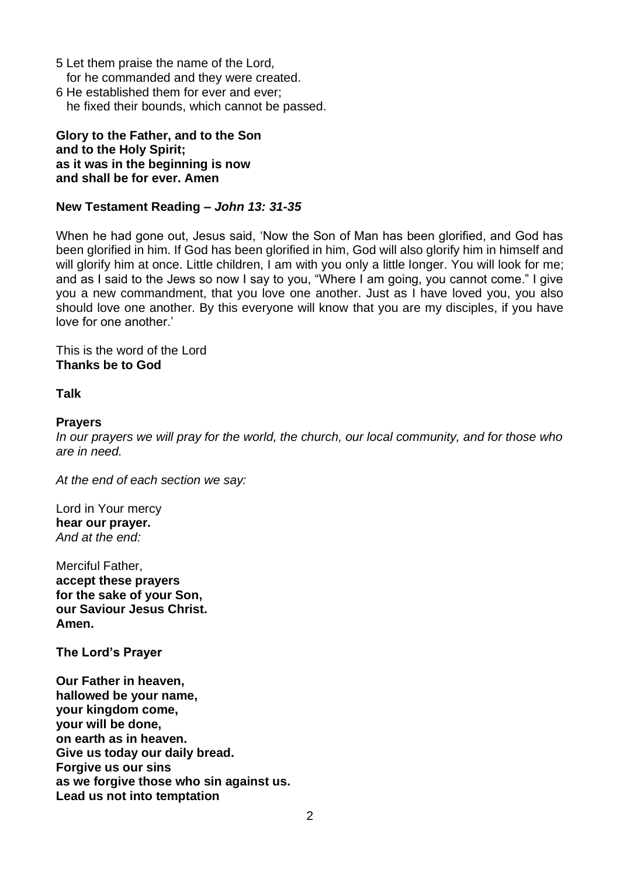- 5 Let them praise the name of the Lord, for he commanded and they were created.
- 6 He established them for ever and ever; he fixed their bounds, which cannot be passed.

#### **Glory to the Father, and to the Son and to the Holy Spirit; as it was in the beginning is now and shall be for ever. Amen**

#### **New Testament Reading –** *John 13: 31-35*

When he had gone out, Jesus said, 'Now the Son of Man has been glorified, and God has been glorified in him. If God has been glorified in him, God will also glorify him in himself and will glorify him at once. Little children, I am with you only a little longer. You will look for me; and as I said to the Jews so now I say to you, "Where I am going, you cannot come." I give you a new commandment, that you love one another. Just as I have loved you, you also should love one another. By this everyone will know that you are my disciples, if you have love for one another.'

This is the word of the Lord **Thanks be to God**

#### **Talk**

#### **Prayers**

*In our prayers we will pray for the world, the church, our local community, and for those who are in need.* 

*At the end of each section we say:*

Lord in Your mercy **hear our prayer.**  *And at the end:*

Merciful Father, **accept these prayers for the sake of your Son, our Saviour Jesus Christ. Amen.**

**The Lord's Prayer**

**Our Father in heaven, hallowed be your name, your kingdom come, your will be done, on earth as in heaven. Give us today our daily bread. Forgive us our sins as we forgive those who sin against us. Lead us not into temptation**